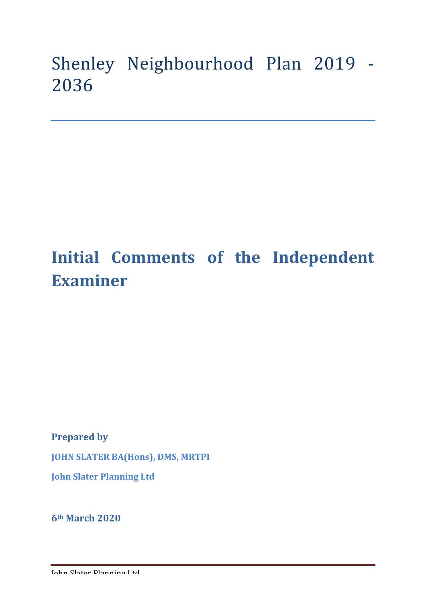# Shenley Neighbourhood Plan 2019 -2036

# **Initial Comments of the Independent Examiner**

**Prepared by** 

**JOHN SLATER BA(Hons), DMS, MRTPI** 

**John Slater Planning Ltd**

**6th March 2020**

John Slater Planning Ltd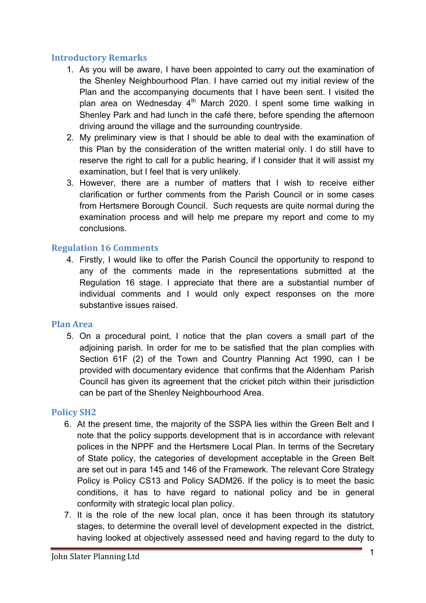## **Introductory Remarks**

- 1. As you will be aware, I have been appointed to carry out the examination of the Shenley Neighbourhood Plan. I have carried out my initial review of the Plan and the accompanying documents that I have been sent. I visited the plan area on Wednesday  $4<sup>th</sup>$  March 2020. I spent some time walking in Shenley Park and had lunch in the café there, before spending the afternoon driving around the village and the surrounding countryside.
- 2. My preliminary view is that I should be able to deal with the examination of this Plan by the consideration of the written material only. I do still have to reserve the right to call for a public hearing, if I consider that it will assist my examination, but I feel that is very unlikely.
- 3. However, there are a number of matters that I wish to receive either clarification or further comments from the Parish Council or in some cases from Hertsmere Borough Council. Such requests are quite normal during the examination process and will help me prepare my report and come to my conclusions.

## **Regulation 16 Comments**

4. Firstly, I would like to offer the Parish Council the opportunity to respond to any of the comments made in the representations submitted at the Regulation 16 stage. I appreciate that there are a substantial number of individual comments and I would only expect responses on the more substantive issues raised.

## **Plan Area**

5. On a procedural point, I notice that the plan covers a small part of the adjoining parish. In order for me to be satisfied that the plan complies with Section 61F (2) of the Town and Country Planning Act 1990, can I be provided with documentary evidence that confirms that the Aldenham Parish Council has given its agreement that the cricket pitch within their jurisdiction can be part of the Shenley Neighbourhood Area.

## **Policy SH2**

- 6. At the present time, the majority of the SSPA lies within the Green Belt and I note that the policy supports development that is in accordance with relevant polices in the NPPF and the Hertsmere Local Plan. In terms of the Secretary of State policy, the categories of development acceptable in the Green Belt are set out in para 145 and 146 of the Framework. The relevant Core Strategy Policy is Policy CS13 and Policy SADM26. If the policy is to meet the basic conditions, it has to have regard to national policy and be in general conformity with strategic local plan policy.
- 7. It is the role of the new local plan, once it has been through its statutory stages, to determine the overall level of development expected in the district, having looked at objectively assessed need and having regard to the duty to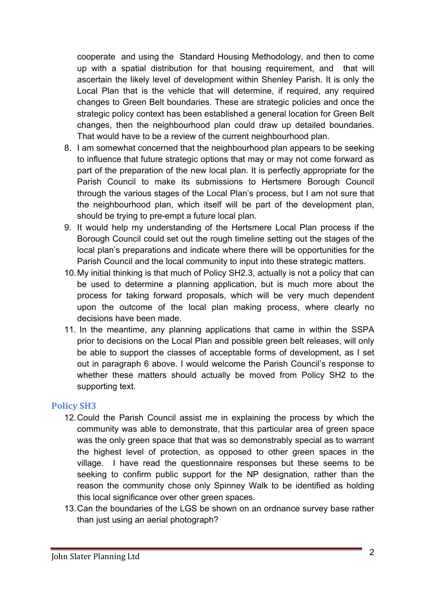cooperate and using the Standard Housing Methodology, and then to come up with a spatial distribution for that housing requirement, and that will ascertain the likely level of development within Shenley Parish. It is only the Local Plan that is the vehicle that will determine, if required, any required changes to Green Belt boundaries. These are strategic policies and once the strategic policy context has been established a general location for Green Belt changes, then the neighbourhood plan could draw up detailed boundaries. That would have to be a review of the current neighbourhood plan.

- 8. I am somewhat concerned that the neighbourhood plan appears to be seeking to influence that future strategic options that may or may not come forward as part of the preparation of the new local plan. It is perfectly appropriate for the Parish Council to make its submissions to Hertsmere Borough Council through the various stages of the Local Plan's process, but I am not sure that the neighbourhood plan, which itself will be part of the development plan, should be trying to pre-empt a future local plan.
- 9. It would help my understanding of the Hertsmere Local Plan process if the Borough Council could set out the rough timeline setting out the stages of the local plan's preparations and indicate where there will be opportunities for the Parish Council and the local community to input into these strategic matters.
- 10.My initial thinking is that much of Policy SH2.3, actually is not a policy that can be used to determine a planning application, but is much more about the process for taking forward proposals, which will be very much dependent upon the outcome of the local plan making process, where clearly no decisions have been made.
- 11. In the meantime, any planning applications that came in within the SSPA prior to decisions on the Local Plan and possible green belt releases, will only be able to support the classes of acceptable forms of development, as I set out in paragraph 6 above. I would welcome the Parish Council's response to whether these matters should actually be moved from Policy SH2 to the supporting text.

## **Policy SH3**

- 12.Could the Parish Council assist me in explaining the process by which the community was able to demonstrate, that this particular area of green space was the only green space that that was so demonstrably special as to warrant the highest level of protection, as opposed to other green spaces in the village. I have read the questionnaire responses but these seems to be seeking to confirm public support for the NP designation, rather than the reason the community chose only Spinney Walk to be identified as holding this local significance over other green spaces.
- 13.Can the boundaries of the LGS be shown on an ordnance survey base rather than just using an aerial photograph?